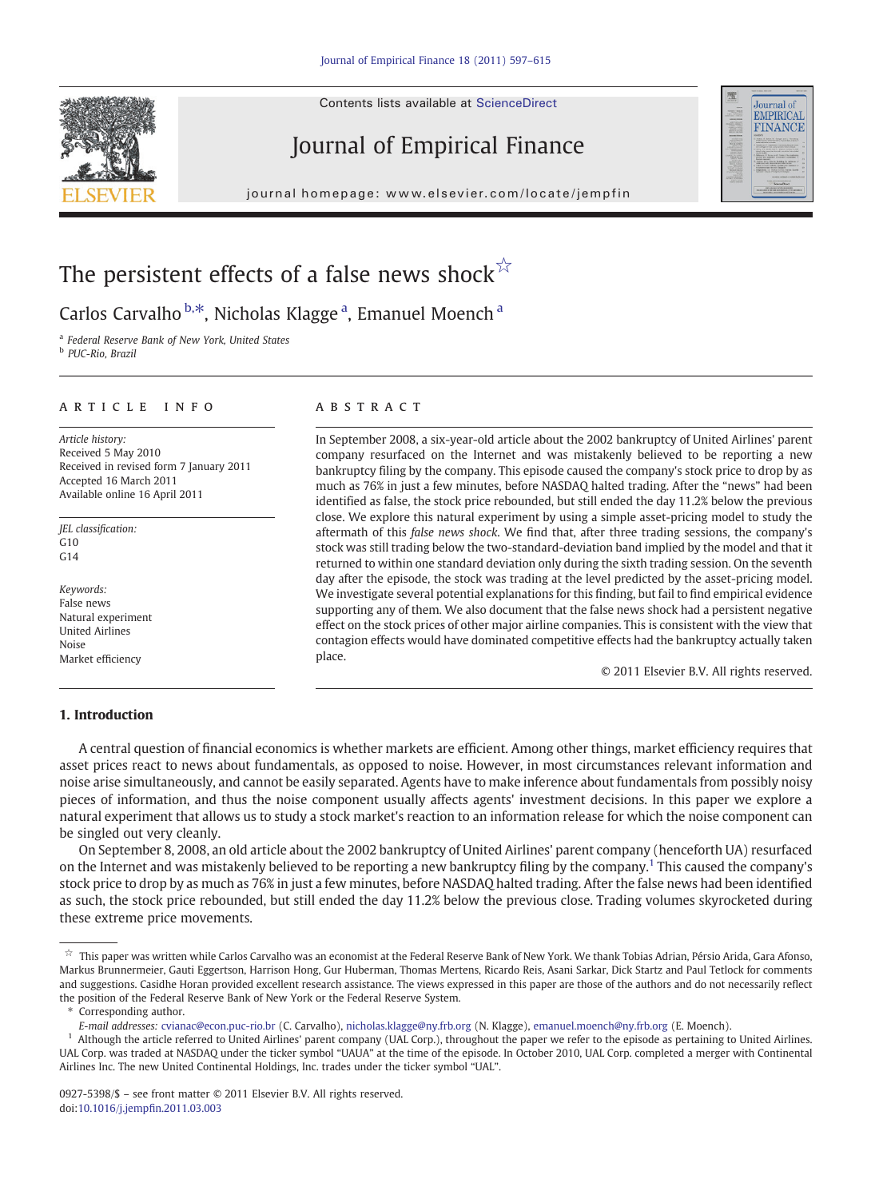Contents lists available at ScienceDirect

## Journal of Empirical Finance

iournal homepage: www.elsevier.com/locate/iempfin j o u r n a g e  $\mathcal{L}$  i e  $\mathcal{L}$  even  $\mathcal{L}$  is a t expansion of  $\mathcal{L}$ 



## The persistent effects of a false news shock $\vec{r}$

Carlos Carvalho <sup>b,\*</sup>, Nicholas Klagge <sup>a</sup>, Emanuel Moench <sup>a</sup>

<sup>a</sup> Federal Reserve Bank of New York, United States

<sup>b</sup> PUC-Rio, Brazil

### article info abstract

Article history: Received 5 May 2010 Received in revised form 7 January 2011 Accepted 16 March 2011 Available online 16 April 2011

JEL classification:  $G10$  $G14$ 

Keywords: False news Natural experiment United Airlines Noise Market efficiency

In September 2008, a six-year-old article about the 2002 bankruptcy of United Airlines' parent company resurfaced on the Internet and was mistakenly believed to be reporting a new bankruptcy filing by the company. This episode caused the company's stock price to drop by as much as 76% in just a few minutes, before NASDAQ halted trading. After the "news" had been identified as false, the stock price rebounded, but still ended the day 11.2% below the previous close. We explore this natural experiment by using a simple asset-pricing model to study the aftermath of this false news shock. We find that, after three trading sessions, the company's stock was still trading below the two-standard-deviation band implied by the model and that it returned to within one standard deviation only during the sixth trading session. On the seventh day after the episode, the stock was trading at the level predicted by the asset-pricing model. We investigate several potential explanations for this finding, but fail to find empirical evidence supporting any of them. We also document that the false news shock had a persistent negative effect on the stock prices of other major airline companies. This is consistent with the view that contagion effects would have dominated competitive effects had the bankruptcy actually taken place.

© 2011 Elsevier B.V. All rights reserved.

### 1. Introduction

A central question of financial economics is whether markets are efficient. Among other things, market efficiency requires that asset prices react to news about fundamentals, as opposed to noise. However, in most circumstances relevant information and noise arise simultaneously, and cannot be easily separated. Agents have to make inference about fundamentals from possibly noisy pieces of information, and thus the noise component usually affects agents' investment decisions. In this paper we explore a natural experiment that allows us to study a stock market's reaction to an information release for which the noise component can be singled out very cleanly.

On September 8, 2008, an old article about the 2002 bankruptcy of United Airlines' parent company (henceforth UA) resurfaced on the Internet and was mistakenly believed to be reporting a new bankruptcy filing by the company.1 This caused the company's stock price to drop by as much as 76% in just a few minutes, before NASDAQ halted trading. After the false news had been identified as such, the stock price rebounded, but still ended the day 11.2% below the previous close. Trading volumes skyrocketed during these extreme price movements.

Corresponding author.

<sup>☆</sup> This paper was written while Carlos Carvalho was an economist at the Federal Reserve Bank of New York. We thank Tobias Adrian, Pérsio Arida, Gara Afonso, Markus Brunnermeier, Gauti Eggertson, Harrison Hong, Gur Huberman, Thomas Mertens, Ricardo Reis, Asani Sarkar, Dick Startz and Paul Tetlock for comments and suggestions. Casidhe Horan provided excellent research assistance. The views expressed in this paper are those of the authors and do not necessarily reflect the position of the Federal Reserve Bank of New York or the Federal Reserve System.

E-mail addresses: [cvianac@econ.puc-rio.br](mailto:cvianac@econ.puc-rio.br) (C. Carvalho), [nicholas.klagge@ny.frb.org](mailto:nicholas.klagge@ny.frb.org) (N. Klagge), [emanuel.moench@ny.frb.org](mailto:emanuel.moench@ny.frb.org) (E. Moench).

<sup>1</sup> Although the article referred to United Airlines' parent company (UAL Corp.), throughout the paper we refer to the episode as pertaining to United Airlines. UAL Corp. was traded at NASDAQ under the ticker symbol "UAUA" at the time of the episode. In October 2010, UAL Corp. completed a merger with Continental Airlines Inc. The new United Continental Holdings, Inc. trades under the ticker symbol "UAL".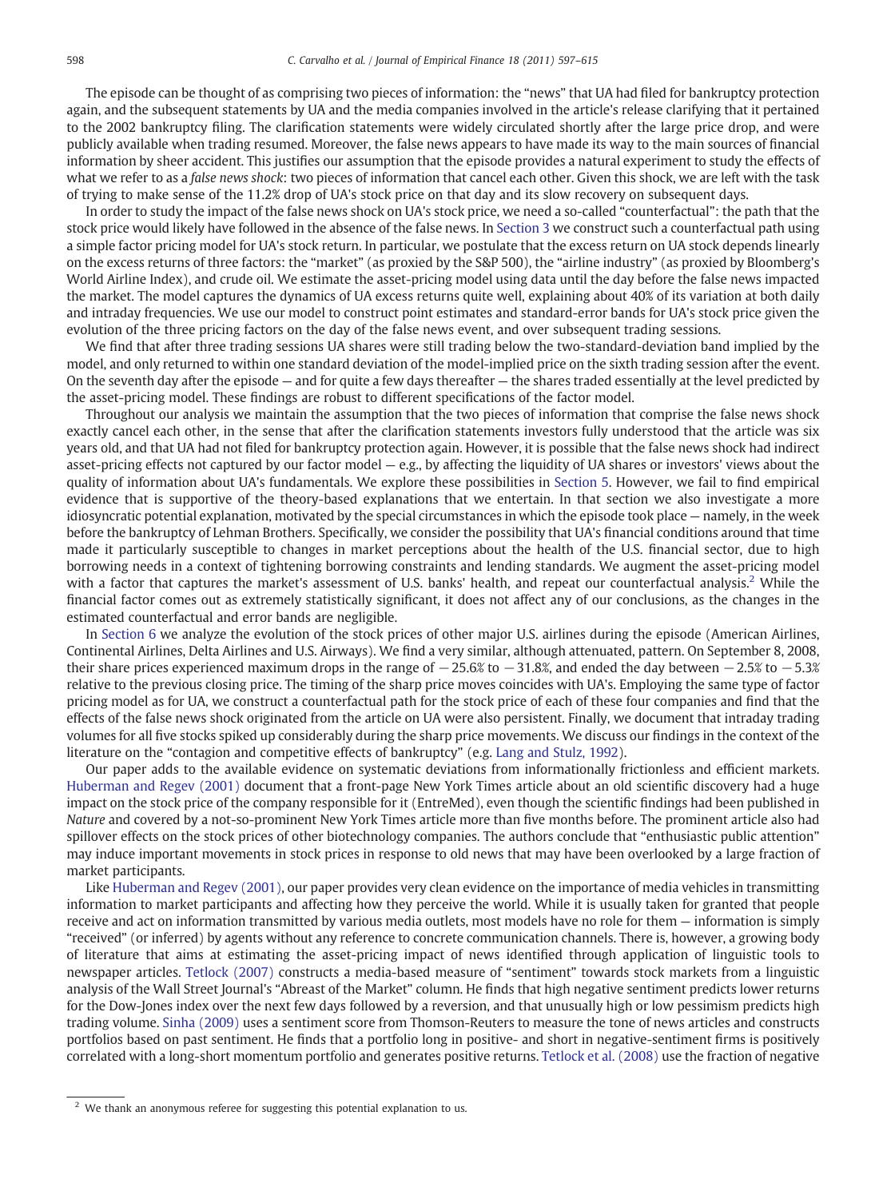The episode can be thought of as comprising two pieces of information: the "news" that UA had filed for bankruptcy protection again, and the subsequent statements by UA and the media companies involved in the article's release clarifying that it pertained to the 2002 bankruptcy filing. The clarification statements were widely circulated shortly after the large price drop, and were publicly available when trading resumed. Moreover, the false news appears to have made its way to the main sources of financial information by sheer accident. This justifies our assumption that the episode provides a natural experiment to study the effects of what we refer to as a false news shock: two pieces of information that cancel each other. Given this shock, we are left with the task of trying to make sense of the 11.2% drop of UA's stock price on that day and its slow recovery on subsequent days.

In order to study the impact of the false news shock on UA's stock price, we need a so-called "counterfactual": the path that the stock price would likely have followed in the absence of the false news. In [Section 3](#page--1-0) we construct such a counterfactual path using a simple factor pricing model for UA's stock return. In particular, we postulate that the excess return on UA stock depends linearly on the excess returns of three factors: the "market" (as proxied by the S&P 500), the "airline industry" (as proxied by Bloomberg's World Airline Index), and crude oil. We estimate the asset-pricing model using data until the day before the false news impacted the market. The model captures the dynamics of UA excess returns quite well, explaining about 40% of its variation at both daily and intraday frequencies. We use our model to construct point estimates and standard-error bands for UA's stock price given the evolution of the three pricing factors on the day of the false news event, and over subsequent trading sessions.

We find that after three trading sessions UA shares were still trading below the two-standard-deviation band implied by the model, and only returned to within one standard deviation of the model-implied price on the sixth trading session after the event. On the seventh day after the episode — and for quite a few days thereafter — the shares traded essentially at the level predicted by the asset-pricing model. These findings are robust to different specifications of the factor model.

Throughout our analysis we maintain the assumption that the two pieces of information that comprise the false news shock exactly cancel each other, in the sense that after the clarification statements investors fully understood that the article was six years old, and that UA had not filed for bankruptcy protection again. However, it is possible that the false news shock had indirect asset-pricing effects not captured by our factor model  $-$  e.g., by affecting the liquidity of UA shares or investors' views about the quality of information about UA's fundamentals. We explore these possibilities in [Section 5](#page--1-0). However, we fail to find empirical evidence that is supportive of the theory-based explanations that we entertain. In that section we also investigate a more idiosyncratic potential explanation, motivated by the special circumstances in which the episode took place — namely, in the week before the bankruptcy of Lehman Brothers. Specifically, we consider the possibility that UA's financial conditions around that time made it particularly susceptible to changes in market perceptions about the health of the U.S. financial sector, due to high borrowing needs in a context of tightening borrowing constraints and lending standards. We augment the asset-pricing model with a factor that captures the market's assessment of U.S. banks' health, and repeat our counterfactual analysis.<sup>2</sup> While the financial factor comes out as extremely statistically significant, it does not affect any of our conclusions, as the changes in the estimated counterfactual and error bands are negligible.

In [Section 6](#page--1-0) we analyze the evolution of the stock prices of other major U.S. airlines during the episode (American Airlines, Continental Airlines, Delta Airlines and U.S. Airways). We find a very similar, although attenuated, pattern. On September 8, 2008, their share prices experienced maximum drops in the range of  $-25.6\%$  to  $-31.8\%$  and ended the day between  $-2.5\%$  to  $-5.3\%$ relative to the previous closing price. The timing of the sharp price moves coincides with UA's. Employing the same type of factor pricing model as for UA, we construct a counterfactual path for the stock price of each of these four companies and find that the effects of the false news shock originated from the article on UA were also persistent. Finally, we document that intraday trading volumes for all five stocks spiked up considerably during the sharp price movements. We discuss our findings in the context of the literature on the "contagion and competitive effects of bankruptcy" (e.g. [Lang and Stulz, 1992\)](#page--1-0).

Our paper adds to the available evidence on systematic deviations from informationally frictionless and efficient markets. [Huberman and Regev \(2001\)](#page--1-0) document that a front-page New York Times article about an old scientific discovery had a huge impact on the stock price of the company responsible for it (EntreMed), even though the scientific findings had been published in Nature and covered by a not-so-prominent New York Times article more than five months before. The prominent article also had spillover effects on the stock prices of other biotechnology companies. The authors conclude that "enthusiastic public attention" may induce important movements in stock prices in response to old news that may have been overlooked by a large fraction of market participants.

Like [Huberman and Regev \(2001\)](#page--1-0), our paper provides very clean evidence on the importance of media vehicles in transmitting information to market participants and affecting how they perceive the world. While it is usually taken for granted that people receive and act on information transmitted by various media outlets, most models have no role for them — information is simply "received" (or inferred) by agents without any reference to concrete communication channels. There is, however, a growing body of literature that aims at estimating the asset-pricing impact of news identified through application of linguistic tools to newspaper articles. [Tetlock \(2007\)](#page--1-0) constructs a media-based measure of "sentiment" towards stock markets from a linguistic analysis of the Wall Street Journal's "Abreast of the Market" column. He finds that high negative sentiment predicts lower returns for the Dow-Jones index over the next few days followed by a reversion, and that unusually high or low pessimism predicts high trading volume. [Sinha \(2009\)](#page--1-0) uses a sentiment score from Thomson-Reuters to measure the tone of news articles and constructs portfolios based on past sentiment. He finds that a portfolio long in positive- and short in negative-sentiment firms is positively correlated with a long-short momentum portfolio and generates positive returns. [Tetlock et al. \(2008\)](#page--1-0) use the fraction of negative

<sup>&</sup>lt;sup>2</sup> We thank an anonymous referee for suggesting this potential explanation to us.